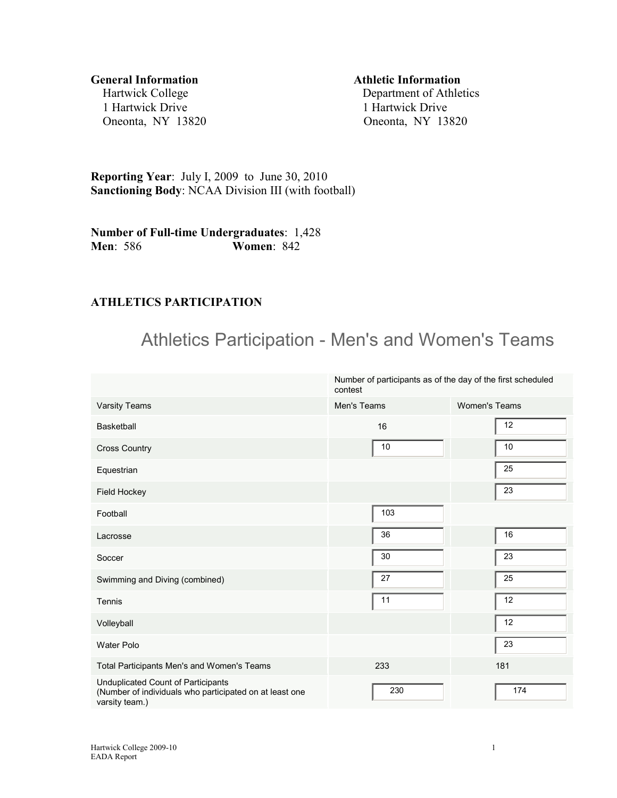**General Information Athletic Information**  1 Hartwick Drive 1 Hartwick Drive

Hartwick College Department of Athletics Oneonta, NY 13820 Oneonta, NY 13820

**Reporting Year**: July I, 2009 to June 30, 2010 **Sanctioning Body**: NCAA Division III (with football)

**Number of Full-time Undergraduates**: 1,428 **Men**: 586 **Women**: 842

#### **ATHLETICS PARTICIPATION**

# Athletics Participation - Men's and Women's Teams

|                                                                                                                 | Number of participants as of the day of the first scheduled<br>contest |                      |  |
|-----------------------------------------------------------------------------------------------------------------|------------------------------------------------------------------------|----------------------|--|
| <b>Varsity Teams</b>                                                                                            | Men's Teams                                                            | <b>Women's Teams</b> |  |
| <b>Basketball</b>                                                                                               | 16                                                                     | 12                   |  |
| <b>Cross Country</b>                                                                                            | 10                                                                     | 10                   |  |
| Equestrian                                                                                                      |                                                                        | 25                   |  |
| Field Hockey                                                                                                    |                                                                        | 23                   |  |
| Football                                                                                                        | 103                                                                    |                      |  |
| Lacrosse                                                                                                        | 36                                                                     | 16                   |  |
| Soccer                                                                                                          | 30                                                                     | 23                   |  |
| Swimming and Diving (combined)                                                                                  | 27                                                                     | 25                   |  |
| Tennis                                                                                                          | 11                                                                     | 12                   |  |
| Volleyball                                                                                                      |                                                                        | 12                   |  |
| <b>Water Polo</b>                                                                                               |                                                                        | 23                   |  |
| Total Participants Men's and Women's Teams                                                                      | 233                                                                    | 181                  |  |
| Unduplicated Count of Participants<br>(Number of individuals who participated on at least one<br>varsity team.) | 230                                                                    | 174                  |  |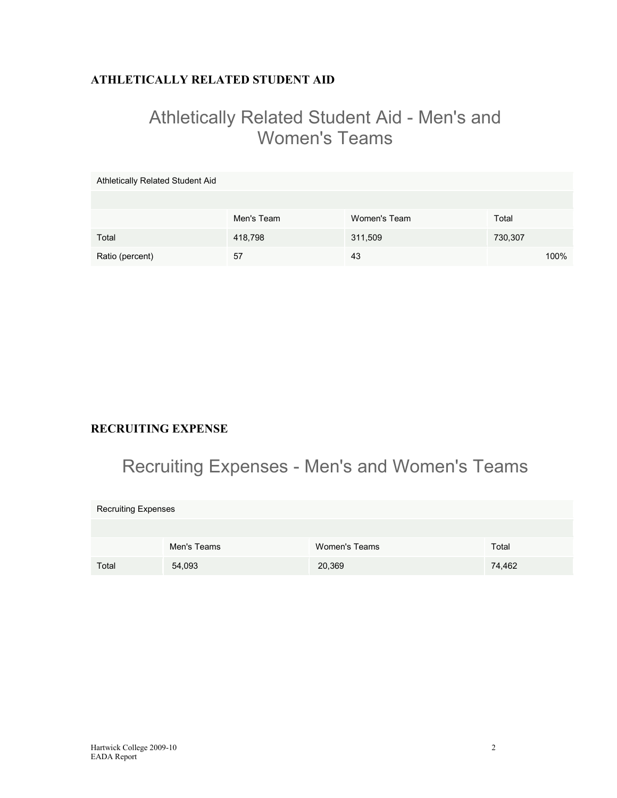### **ATHLETICALLY RELATED STUDENT AID**

# Athletically Related Student Aid - Men's and Women's Teams

| Athletically Related Student Aid |            |              |         |
|----------------------------------|------------|--------------|---------|
|                                  |            |              |         |
|                                  | Men's Team | Women's Team | Total   |
| Total                            | 418,798    | 311,509      | 730,307 |
| Ratio (percent)                  | 57         | 43           | 100%    |

### **RECRUITING EXPENSE**

# Recruiting Expenses - Men's and Women's Teams

| <b>Recruiting Expenses</b> |             |               |        |  |  |  |  |
|----------------------------|-------------|---------------|--------|--|--|--|--|
|                            |             |               |        |  |  |  |  |
|                            | Men's Teams | Women's Teams | Total  |  |  |  |  |
| Total                      | 54,093      | 20,369        | 74,462 |  |  |  |  |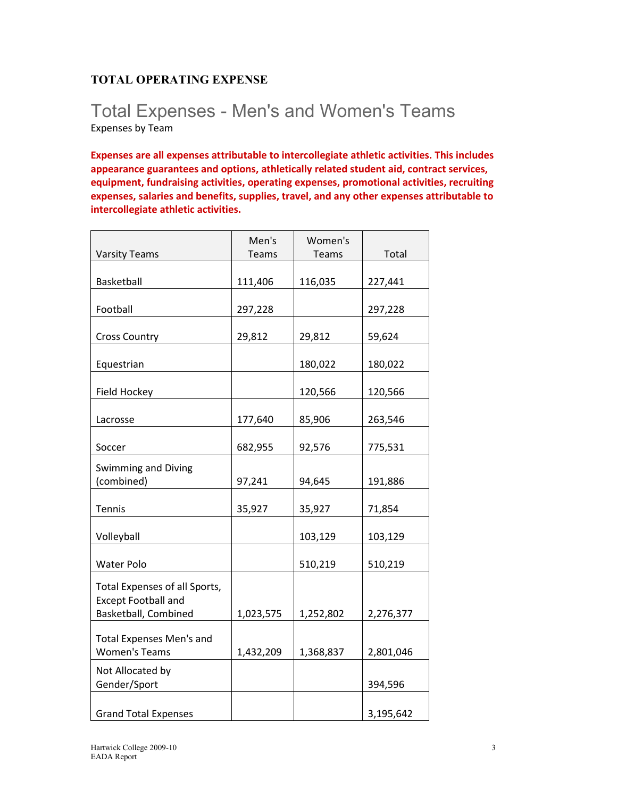### **TOTAL OPERATING EXPENSE**

## Total Expenses - Men's and Women's Teams Expenses by Team

**Expenses are all expenses attributable to intercollegiate athletic activities. This includes appearance guarantees and options, athletically related student aid, contract services, equipment, fundraising activities, operating expenses, promotional activities, recruiting expenses, salaries and benefits, supplies, travel, and any other expenses attributable to intercollegiate athletic activities.** 

|                                                             | Men's        | Women's   |           |
|-------------------------------------------------------------|--------------|-----------|-----------|
| <b>Varsity Teams</b>                                        | <b>Teams</b> | Teams     | Total     |
| Basketball                                                  | 111,406      | 116,035   | 227,441   |
| Football                                                    | 297,228      |           | 297,228   |
| <b>Cross Country</b>                                        | 29,812       | 29,812    | 59,624    |
| Equestrian                                                  |              | 180,022   | 180,022   |
| Field Hockey                                                |              | 120,566   | 120,566   |
| Lacrosse                                                    | 177,640      | 85,906    | 263,546   |
| Soccer                                                      | 682,955      | 92,576    | 775,531   |
| Swimming and Diving<br>(combined)                           | 97,241       | 94,645    | 191,886   |
|                                                             |              |           |           |
| Tennis                                                      | 35,927       | 35,927    | 71,854    |
| Volleyball                                                  |              | 103,129   | 103,129   |
| Water Polo                                                  |              | 510,219   | 510,219   |
| Total Expenses of all Sports,<br><b>Except Football and</b> |              |           |           |
| Basketball, Combined                                        | 1,023,575    | 1,252,802 | 2,276,377 |
| <b>Total Expenses Men's and</b><br><b>Women's Teams</b>     | 1,432,209    | 1,368,837 | 2,801,046 |
| Not Allocated by<br>Gender/Sport                            |              |           | 394,596   |
| <b>Grand Total Expenses</b>                                 |              |           | 3,195,642 |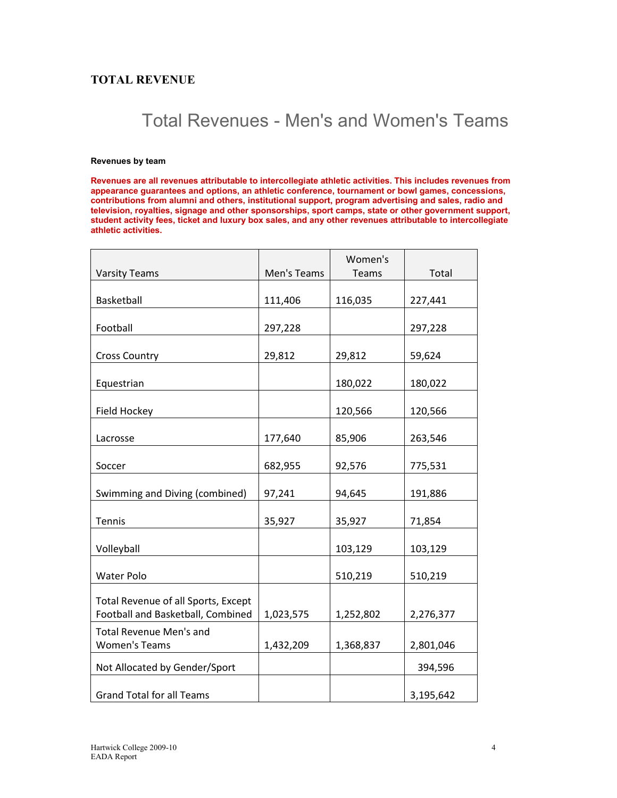#### **TOTAL REVENUE**

# Total Revenues - Men's and Women's Teams

#### **Revenues by team**

**Revenues are all revenues attributable to intercollegiate athletic activities. This includes revenues from appearance guarantees and options, an athletic conference, tournament or bowl games, concessions, contributions from alumni and others, institutional support, program advertising and sales, radio and television, royalties, signage and other sponsorships, sport camps, state or other government support, student activity fees, ticket and luxury box sales, and any other revenues attributable to intercollegiate athletic activities.**

|                                                        |             | Women's   |           |
|--------------------------------------------------------|-------------|-----------|-----------|
| <b>Varsity Teams</b>                                   | Men's Teams | Teams     | Total     |
| Basketball                                             | 111,406     | 116,035   | 227,441   |
| Football                                               | 297,228     |           | 297,228   |
| <b>Cross Country</b>                                   | 29,812      | 29,812    | 59,624    |
| Equestrian                                             |             | 180,022   | 180,022   |
| Field Hockey                                           |             | 120,566   | 120,566   |
| Lacrosse                                               | 177,640     | 85,906    | 263,546   |
| Soccer                                                 | 682,955     | 92,576    | 775,531   |
| Swimming and Diving (combined)                         | 97,241      | 94,645    | 191,886   |
| Tennis                                                 | 35,927      | 35,927    | 71,854    |
| Volleyball                                             |             | 103,129   | 103,129   |
| <b>Water Polo</b>                                      |             | 510,219   | 510,219   |
| Total Revenue of all Sports, Except                    |             |           |           |
| Football and Basketball, Combined                      | 1,023,575   | 1,252,802 | 2,276,377 |
| <b>Total Revenue Men's and</b><br><b>Women's Teams</b> | 1,432,209   | 1,368,837 | 2,801,046 |
| Not Allocated by Gender/Sport                          |             |           | 394,596   |
| <b>Grand Total for all Teams</b>                       |             |           | 3,195,642 |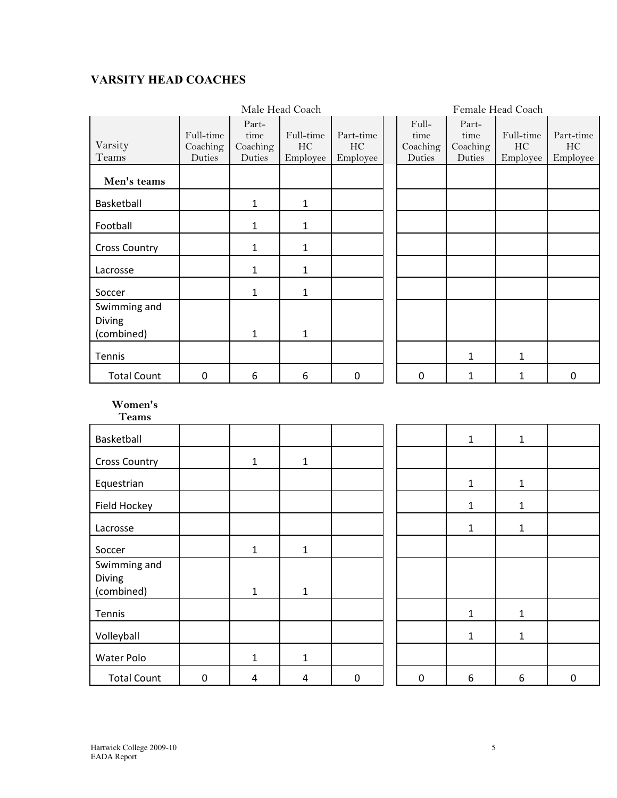### **VARSITY HEAD COACHES**

|                                             | Male Head Coach                 |                                     |                             |                             | Female Head Coach |                                     |                                     |                             |                             |
|---------------------------------------------|---------------------------------|-------------------------------------|-----------------------------|-----------------------------|-------------------|-------------------------------------|-------------------------------------|-----------------------------|-----------------------------|
| Varsity<br>Teams                            | Full-time<br>Coaching<br>Duties | Part-<br>time<br>Coaching<br>Duties | Full-time<br>HC<br>Employee | Part-time<br>HC<br>Employee |                   | Full-<br>time<br>Coaching<br>Duties | Part-<br>time<br>Coaching<br>Duties | Full-time<br>HC<br>Employee | Part-time<br>HC<br>Employee |
| Men's teams                                 |                                 |                                     |                             |                             |                   |                                     |                                     |                             |                             |
| Basketball                                  |                                 | 1                                   | $\mathbf{1}$                |                             |                   |                                     |                                     |                             |                             |
| Football                                    |                                 | 1                                   | $\mathbf{1}$                |                             |                   |                                     |                                     |                             |                             |
| <b>Cross Country</b>                        |                                 | 1                                   | 1                           |                             |                   |                                     |                                     |                             |                             |
| Lacrosse                                    |                                 | 1                                   | $\mathbf{1}$                |                             |                   |                                     |                                     |                             |                             |
| Soccer                                      |                                 | 1                                   | $\mathbf{1}$                |                             |                   |                                     |                                     |                             |                             |
| Swimming and<br><b>Diving</b><br>(combined) |                                 | 1                                   | 1                           |                             |                   |                                     |                                     |                             |                             |
| Tennis                                      |                                 |                                     |                             |                             |                   |                                     | 1                                   | 1                           |                             |
| <b>Total Count</b>                          | 0                               | 6                                   | 6                           | 0                           |                   | $\mathbf{0}$                        | 1                                   | 1                           | 0                           |

#### **Women's Teams**

| *******                              |             |              |              |          |             |              |              |           |
|--------------------------------------|-------------|--------------|--------------|----------|-------------|--------------|--------------|-----------|
| Basketball                           |             |              |              |          |             | $\mathbf{1}$ | $\mathbf{1}$ |           |
| <b>Cross Country</b>                 |             | $\mathbf{1}$ | $\mathbf{1}$ |          |             |              |              |           |
| Equestrian                           |             |              |              |          |             | $\mathbf{1}$ | $\mathbf{1}$ |           |
| Field Hockey                         |             |              |              |          |             | $\mathbf{1}$ | $\mathbf{1}$ |           |
| Lacrosse                             |             |              |              |          |             | $\mathbf{1}$ | 1            |           |
| Soccer                               |             | $\mathbf{1}$ | 1            |          |             |              |              |           |
| Swimming and<br>Diving<br>(combined) |             | $\mathbf{1}$ | $\mathbf{1}$ |          |             |              |              |           |
| Tennis                               |             |              |              |          |             | $\mathbf{1}$ | 1            |           |
| Volleyball                           |             |              |              |          |             | $\mathbf{1}$ | 1            |           |
| Water Polo                           |             | 1            | 1            |          |             |              |              |           |
| <b>Total Count</b>                   | $\mathbf 0$ | 4            | 4            | $\Omega$ | $\mathbf 0$ | 6            | 6            | $\pmb{0}$ |

|   | $\mathbf{1}$ | $\mathbf 1$  |   |
|---|--------------|--------------|---|
|   |              |              |   |
|   | $\mathbf{1}$ | $\mathbf{1}$ |   |
|   | $\mathbf{1}$ | $\mathbf{1}$ |   |
|   | $\mathbf{1}$ | $\mathbf{1}$ |   |
|   |              |              |   |
|   |              |              |   |
|   |              |              |   |
|   | $\mathbf{1}$ | $\mathbf{1}$ |   |
|   | $\mathbf{1}$ | $\mathbf{1}$ |   |
|   |              |              |   |
| 0 | 6            | 6            | 0 |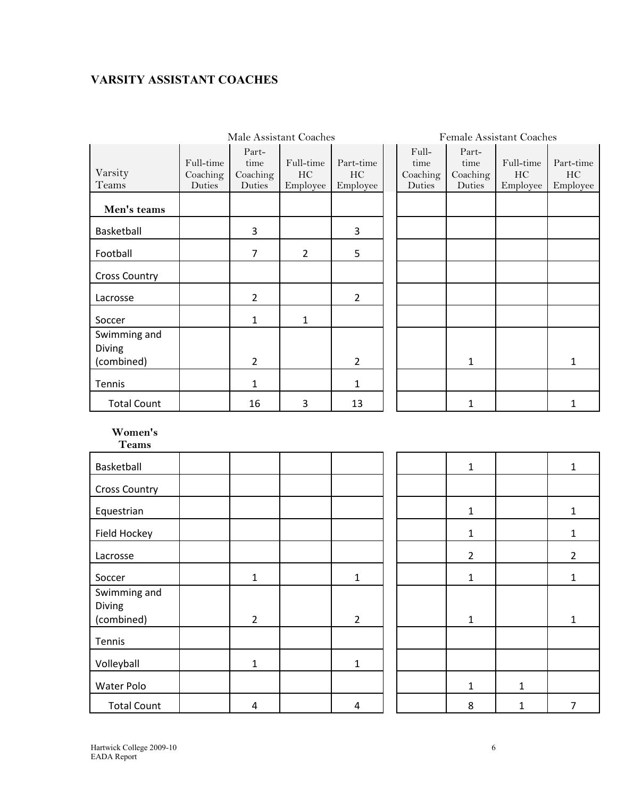### **VARSITY ASSISTANT COACHES**

|                        | Male Assistant Coaches          |                                     |                             |                             | Female Assistant Coaches |                                     |                                     |                             |                             |
|------------------------|---------------------------------|-------------------------------------|-----------------------------|-----------------------------|--------------------------|-------------------------------------|-------------------------------------|-----------------------------|-----------------------------|
| Varsity<br>Teams       | Full-time<br>Coaching<br>Duties | Part-<br>time<br>Coaching<br>Duties | Full-time<br>HC<br>Employee | Part-time<br>HC<br>Employee |                          | Full-<br>time<br>Coaching<br>Duties | Part-<br>time<br>Coaching<br>Duties | Full-time<br>HC<br>Employee | Part-time<br>HC<br>Employee |
| Men's teams            |                                 |                                     |                             |                             |                          |                                     |                                     |                             |                             |
| Basketball             |                                 | 3                                   |                             | 3                           |                          |                                     |                                     |                             |                             |
| Football               |                                 | 7                                   | $\overline{2}$              | 5                           |                          |                                     |                                     |                             |                             |
| <b>Cross Country</b>   |                                 |                                     |                             |                             |                          |                                     |                                     |                             |                             |
| Lacrosse               |                                 | $\overline{2}$                      |                             | $\overline{2}$              |                          |                                     |                                     |                             |                             |
| Soccer                 |                                 | 1                                   | $\mathbf{1}$                |                             |                          |                                     |                                     |                             |                             |
| Swimming and<br>Diving |                                 |                                     |                             |                             |                          |                                     |                                     |                             |                             |
| (combined)             |                                 | $\overline{2}$                      |                             | $\overline{2}$              |                          |                                     | 1                                   |                             | 1                           |
| Tennis                 |                                 | 1                                   |                             | $\mathbf{1}$                |                          |                                     |                                     |                             |                             |
| <b>Total Count</b>     |                                 | 16                                  | 3                           | 13                          |                          |                                     | 1                                   |                             | 1                           |

**Women's Teams** 

| т сашэ                               |                |                |  |                |   |                |
|--------------------------------------|----------------|----------------|--|----------------|---|----------------|
| Basketball                           |                |                |  | $\mathbf{1}$   |   | $\mathbf{1}$   |
| <b>Cross Country</b>                 |                |                |  |                |   |                |
| Equestrian                           |                |                |  | $\mathbf{1}$   |   | $\mathbf{1}$   |
| Field Hockey                         |                |                |  | $\mathbf 1$    |   | $\mathbf{1}$   |
| Lacrosse                             |                |                |  | $\overline{2}$ |   | $\overline{2}$ |
| Soccer                               | $\mathbf{1}$   | 1              |  | $\mathbf 1$    |   | $\mathbf 1$    |
| Swimming and<br>Diving<br>(combined) | $\overline{2}$ | $\overline{2}$ |  | $\mathbf{1}$   |   | $\mathbf 1$    |
| Tennis                               |                |                |  |                |   |                |
| Volleyball                           | 1              | 1              |  |                |   |                |
| Water Polo                           |                |                |  | $\mathbf{1}$   | 1 |                |
| <b>Total Count</b>                   | 4              | 4              |  | 8              | 1 | $\overline{7}$ |

| $\mathbf{1}$   |              | $\mathbf{1}$            |
|----------------|--------------|-------------------------|
|                |              |                         |
| $\mathbf{1}$   |              | $\mathbf 1$             |
| $\mathbf{1}$   |              | $\mathbf{1}$            |
| $\overline{c}$ |              | $\overline{\mathbf{c}}$ |
| $\mathbf{1}$   |              | $\mathbf{1}$            |
| $\mathbf{1}$   |              | $\mathbf{1}$            |
|                |              |                         |
|                |              |                         |
| $\mathbf{1}$   | $\mathbf 1$  |                         |
| 8              | $\mathbf{1}$ | 7                       |